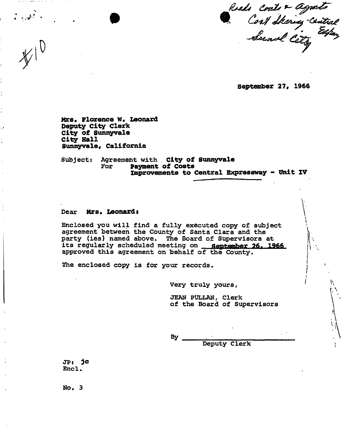Roads Conts & Agnets<br>Cost Staring-Central<br>Sund Cety

**September 27, 1966** 

١.

**Mrs. Florence W. Leonard Deputy City Clerk City of Sunnyvale City Hall Sunnyvale, California** 

Subject: Agreement with **City of Sunnyvale**  For **Payment of Costs Improvements to Central Expressway - Unit XV** 

#### Dear **Mrs. Leonards**

Enclosed you will find a fully executed copy of subject agreement between the County of Santa Clara and the party (ies) named above. The Board of Supervisors at its regularly scheduled meeting on \_\_ september 26. 1966 approved this agreement on behalf of the County.

The enclosed copy is for your records.

Very truly yours,

JEAN PULLAN, Clerk of the Board of Supervisors

By

Deputy Clerk

JP: je Encl.

No\* 3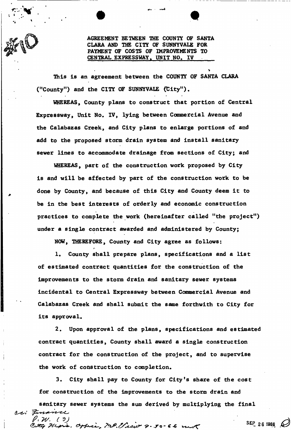

I

AGREEMENT BETWEEN THE COUNTY OF SANTA CLARA AND THE CITY OF SUNNYVALE FOR PAYMENT OF COSTS OF IMPROVEMENTS TO CENTRAL EXPRESSWAY. UNIT NO. IV

This is an agreement between the COUNTY OF SANTA CLARA ("County") and the CITY OF SUNNYVALE (City").

WHEREAS, County plans to construct that portion of Central Expressway, Unit No. IV, lying between Commercial Avenue and the Calabazas Creek, and City plans to enlarge portions of and add to the proposed storm drain system and install sanitary sewer lines to accommodate drainage from sections of City; and

WHEREAS, part of the construction work proposed by City is and will be affected by part of the construction work to be done by County, and because of this City and County deem it to be in the best interests of orderly and economic construction practices to complete the work (hereinafter called "the project") under a single contract awarded and administered by County;

NOW, THEREFORE, County and City agree as follows:

1. County shall prepare plans, specifications and a list of estimated contract quantities for the construction of the improvements to the storm drain and sanitary sewer systems incidental to Central Expressway between Commercial Avenue and Calabazas Creek and shall submit the same forthwith to City for its approval.

2. Upon approval of the plans, specifications and estimated contract quantities, County shall award a single construction contract for the construction of the project, and to supervise the work of construction to completion.

3. City shall pay to County for City's share of the cost for construction of the improvements to the storm drain and

sanitary sewer systems the sum derived by multiplying the final *(L-tsi'*  P. W. (3)<br>Etty *Hughs, Copposity Marine 9-30-66* mart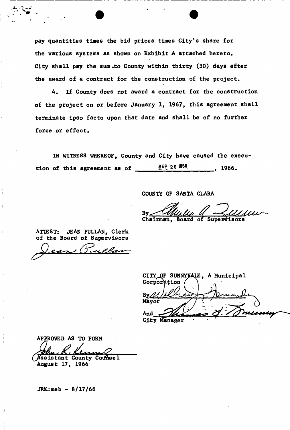pay quantities times the bid prices times City's share for the various systems as shown on Exhibit A attached hereto. City shall pay the sum to County within thirty (30) days after the award of a contract for the construction of the project.

4, If County does not award a contract for the construction of the project on or before January 1, 1967, this agreement shall terminate ipso facto upon that date and shall be of no further force or effect,

IN WITNESS WHEREOF, County and City have caused the execution of this agreement as of  $SEP 26 1966$  1966.

COUNTY OF SANTA CLARA

By. Chairman, Board of Supervisors

ATTEST: JEAN PULLAN, Clerk of the Board of Supervisors

CITY\_OF SUNNYVALE, A Municipal Corporation Mayor And

City Manager

APPROVED AS TO FORM mud

Assistant County Counsel August 17, 1966

JRK:meb - 8/17/66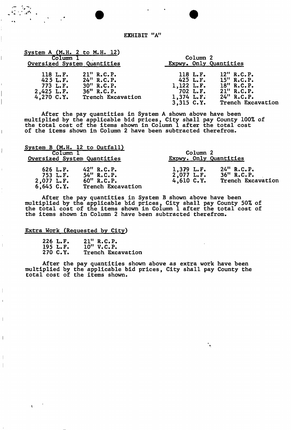### EXHIBIT "A"

| System A $(M.H. 2$ to M.H. 12)        |  |                                    |                   |  |  |
|---------------------------------------|--|------------------------------------|-------------------|--|--|
| Column<br>Oversized System Quantities |  | Column 2<br>Expwy. Only Quantities |                   |  |  |
|                                       |  |                                    |                   |  |  |
|                                       |  | $3,315$ $C.Y.$                     | Trench Excavation |  |  |

After the pay quantities in System A shown above have been multiplied by the applicable bid prices, City shall pay County 100% of the total cost of the items shown in Column 1 after the total cost of the items shown in Column 2 have been subtracted therefrom.

| System B (M.H. 12 to Outfall)<br>Column 1<br>Oversized System Quantities                                                      | Column 2<br>Expwy. Only Quantities          |                                                     |  |  |
|-------------------------------------------------------------------------------------------------------------------------------|---------------------------------------------|-----------------------------------------------------|--|--|
| $42$ " R.C.P.<br>626 L.F.<br>$54"$ R.C.P.<br>753 L.F.<br>$60''$ R.C.P.<br>$2,077$ L.F.<br>$6,645$ $C.Y.$<br>Trench Excavation | $1,379$ L.F.<br>$2,077$ L.F.<br>4,610 C. Y. | $24$ " R.C.P.<br>$36$ " R.C.P.<br>Trench Excavation |  |  |

After the pay quantities in System B shown above have been multiplied by the applicable bid prices, City shall pay County 50% of the total cost of the items shown in Column 1 after the total cost of the items shown in Column 2 have been subtracted therefrom.

### Extra Work (Requested by City)

I

 $\overline{\phantom{a}}$ 

 $\mathbf{I}$ 

 $\overline{1}$ 

| $226$ L.F. | 21" R.C.P.        |
|------------|-------------------|
| 195 L.F.   | 10" V.C.P.        |
| 270 C.Y.   | Trench Excavation |

After the pay quantities shown above as extra work have been multiplied by the applicable bid prices, City shall pay County the total cost of the items shown.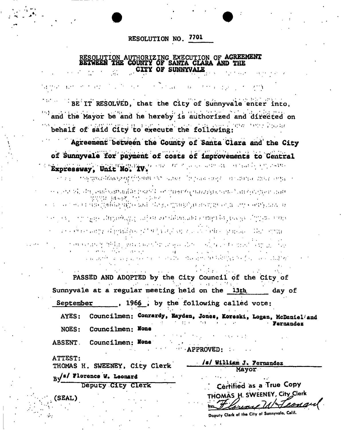RESOLUTION NO. 7701

## RESOLUTION AUTHORIZING EXECUTION OF AGREEMENT BETWEEN THE COUNTY OF SANTA CLARA AND THE **CITY OF SUNNYVALE**

BE IT RESOLVED, that the City of Sunnyvale enter into. and the Mayor be and he hereby is authorized and directed on behalf of said City to execute the following:

Agreement between the County of Santa Clara and the City of Sunnyvale for payment of costs of improvements to Central of college cardinality and called a through the Expressway, Unit No. IV. បានប្រួមបានដែលស្រុកស្រ្តីប្រទេស បង្កាប់បានទេ បើអប្រទេស សម្មេត បានបង្ហាញនាយបានប្រទេស បា ការ គេហើយដែលដែលមានក្នុងស្រាវជាតិ អាចនេះការ ការក្រោមពេលប្រធានរង្វារស្រាវជាតិ និងស្រាវជ្រុមពេលដែល  $\Omega$  ,  $\Omega$  and  $\sigma$  . ការពាក់ គាត់ ការ សារសៀវភ្នំព័ត៌សាធម៌ប្រាក់ស្រង់កំពង់ស្លាក់ប្រធានជាប់ស្រង់សប្បន្នសក្សនា ហ្មេង ការស្លាប់អង្គការស r er 1933 - Ern rysge stærgedssygg sufjekt var riskerasset ar med bå geselge strytsres rome ou este elemento de propio de la Contornativa de la Contesta de pela contrata del propio del propio r an nasara gorishiya o qara roman bir ya gaa ayaa oo ah sa ya assaysan Armya oo and approached in the states of the agencies to be the two forces and controlled

PASSED AND ADOPTED by the City Council of the City of Sunnyvale at a regular meeting held on the 13th day of , 1966, by the following called vote: September

Councilmen: Conrardy, Hayden, Jones, Koreski, Logan, McDaniel/and AYES: **Farnandaz** Councilmen: None **NOES:** 

**ABSENT**. Councilmen: None  $\blacksquare$  APPROVED:

ATTEST:

 $\sim 10^{-10}$ 

THOMAS H. SWEENEY, City Clerk  $By$ <sup>s/</sup> Florence W. Leonard

Deputy City Clerk

(SEAL)

|  | Certified as a True Copy |                                                              |
|--|--------------------------|--------------------------------------------------------------|
|  |                          | THOMAS H. SWEENEY, City Clerk<br>by <i>Flauny MN Leonard</i> |
|  |                          |                                                              |

Doputy Clerk of the City of Sunnyvale, Calif.

/s/ William J. Fernandez

Mayor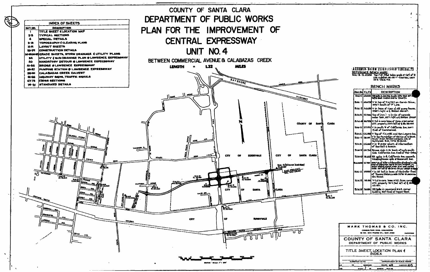